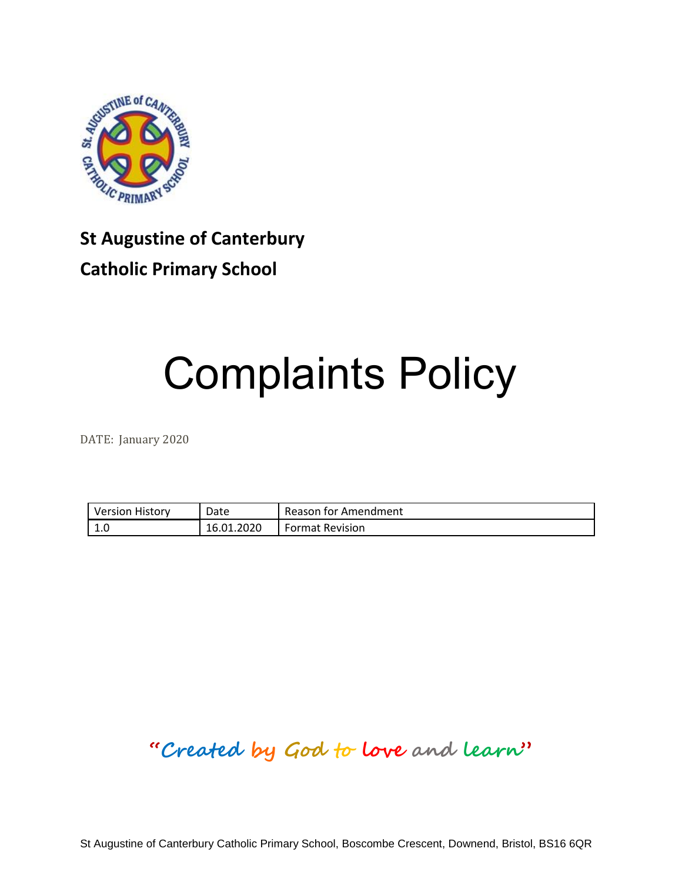

## **St Augustine of Canterbury Catholic Primary School**

# Complaints Policy

DATE: January 2020

| <b>Version History</b> | Date       | Reason for Amendment   |
|------------------------|------------|------------------------|
| n<br><b>L.U</b>        | 16.01.2020 | <b>Format Revision</b> |

## **"Created by God to love and learn"**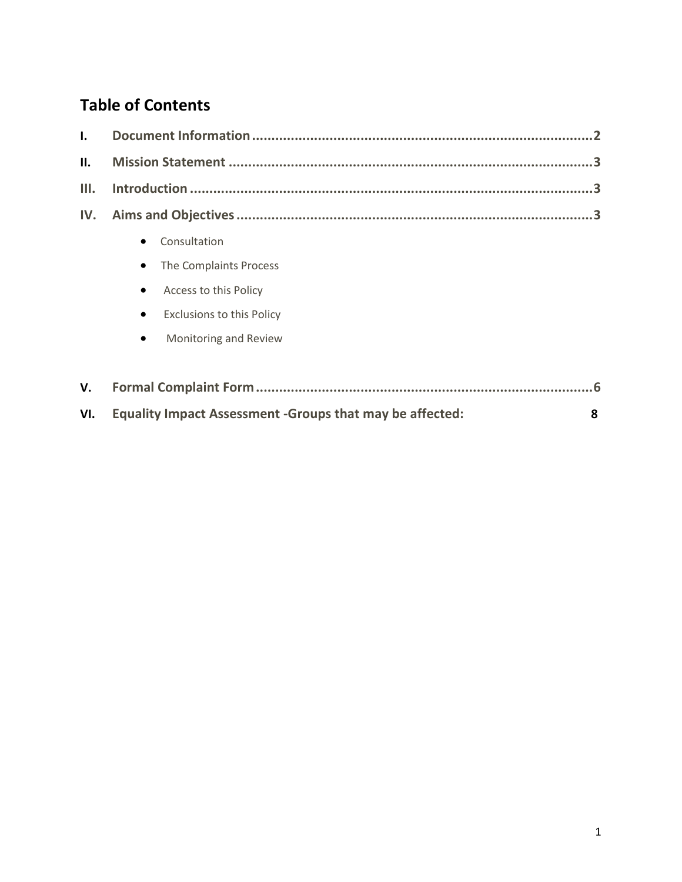## **Table of Contents**

| $\mathbf{I}$ . |                                                                 |   |  |
|----------------|-----------------------------------------------------------------|---|--|
| II.            |                                                                 |   |  |
| III.           |                                                                 |   |  |
| IV.            |                                                                 |   |  |
|                | Consultation                                                    |   |  |
|                | The Complaints Process<br>$\bullet$                             |   |  |
|                | Access to this Policy<br>$\bullet$                              |   |  |
|                | <b>Exclusions to this Policy</b>                                |   |  |
|                | Monitoring and Review<br>$\bullet$                              |   |  |
|                |                                                                 |   |  |
| V.             |                                                                 |   |  |
| VI.            | <b>Equality Impact Assessment -Groups that may be affected:</b> | 8 |  |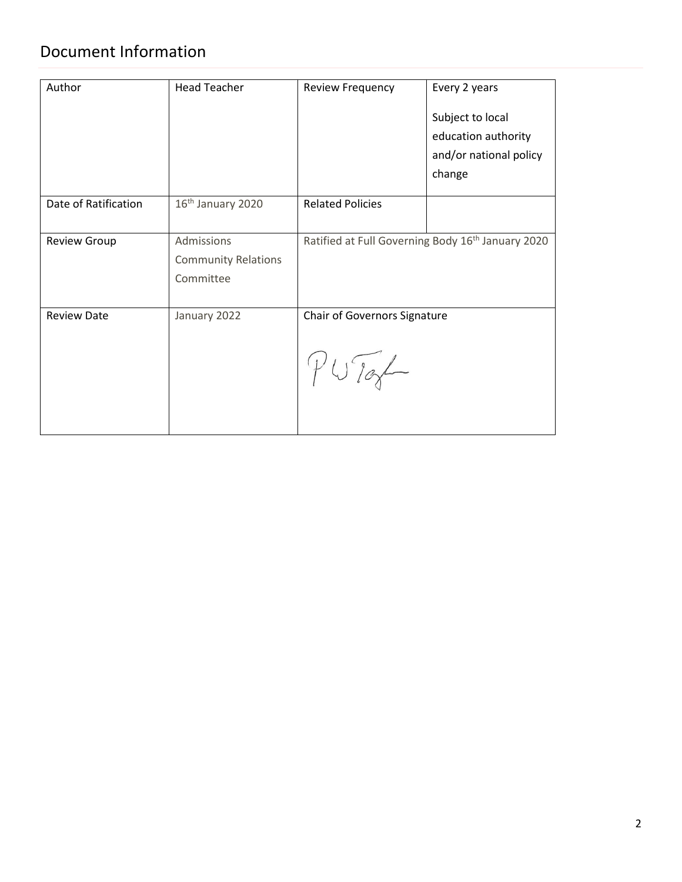## Document Information

| Author                             | <b>Head Teacher</b>                                   | <b>Review Frequency</b>               | Every 2 years<br>Subject to local<br>education authority<br>and/or national policy<br>change |
|------------------------------------|-------------------------------------------------------|---------------------------------------|----------------------------------------------------------------------------------------------|
| Date of Ratification               | 16 <sup>th</sup> January 2020                         | <b>Related Policies</b>               |                                                                                              |
| <b>Review Group</b>                | Admissions<br><b>Community Relations</b><br>Committee |                                       | Ratified at Full Governing Body 16 <sup>th</sup> January 2020                                |
| <b>Review Date</b><br>January 2022 |                                                       | Chair of Governors Signature<br>YWjah |                                                                                              |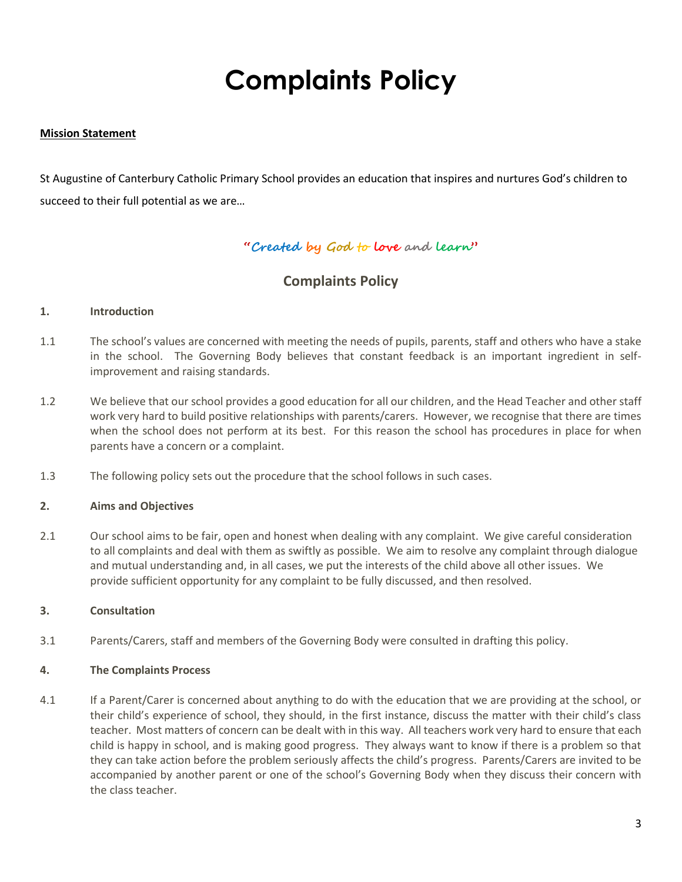## **Complaints Policy**

#### **Mission Statement**

St Augustine of Canterbury Catholic Primary School provides an education that inspires and nurtures God's children to succeed to their full potential as we are…

#### **"Created by God to love and learn"**

#### **Complaints Policy**

#### **1. Introduction**

- 1.1 The school's values are concerned with meeting the needs of pupils, parents, staff and others who have a stake in the school. The Governing Body believes that constant feedback is an important ingredient in selfimprovement and raising standards.
- 1.2 We believe that our school provides a good education for all our children, and the Head Teacher and other staff work very hard to build positive relationships with parents/carers. However, we recognise that there are times when the school does not perform at its best. For this reason the school has procedures in place for when parents have a concern or a complaint.
- 1.3 The following policy sets out the procedure that the school follows in such cases.

#### **2. Aims and Objectives**

2.1 Our school aims to be fair, open and honest when dealing with any complaint. We give careful consideration to all complaints and deal with them as swiftly as possible. We aim to resolve any complaint through dialogue and mutual understanding and, in all cases, we put the interests of the child above all other issues. We provide sufficient opportunity for any complaint to be fully discussed, and then resolved.

#### **3. Consultation**

3.1 Parents/Carers, staff and members of the Governing Body were consulted in drafting this policy.

#### **4. The Complaints Process**

4.1 If a Parent/Carer is concerned about anything to do with the education that we are providing at the school, or their child's experience of school, they should, in the first instance, discuss the matter with their child's class teacher. Most matters of concern can be dealt with in this way. All teachers work very hard to ensure that each child is happy in school, and is making good progress. They always want to know if there is a problem so that they can take action before the problem seriously affects the child's progress. Parents/Carers are invited to be accompanied by another parent or one of the school's Governing Body when they discuss their concern with the class teacher.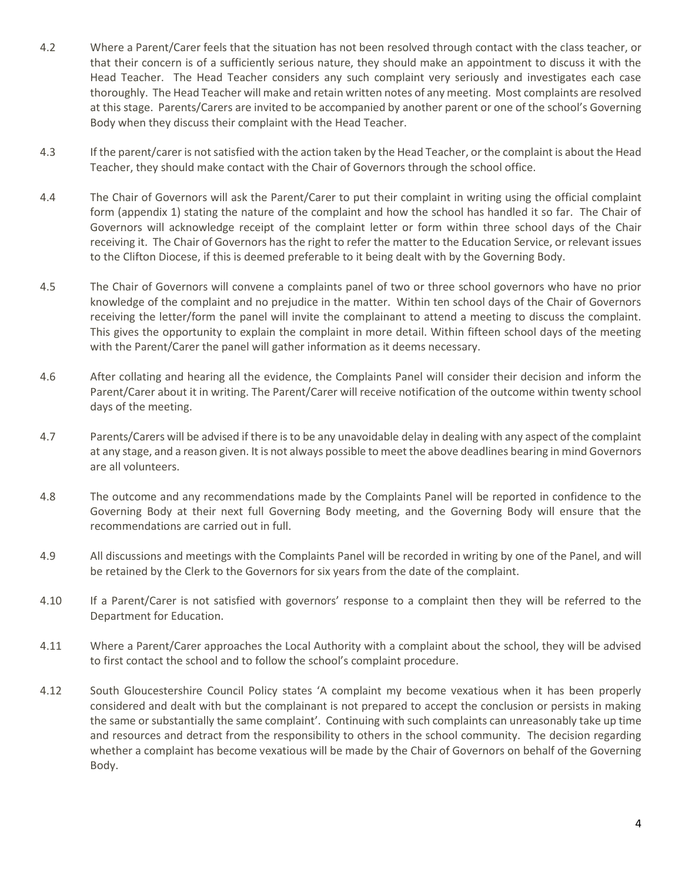- 4.2 Where a Parent/Carer feels that the situation has not been resolved through contact with the class teacher, or that their concern is of a sufficiently serious nature, they should make an appointment to discuss it with the Head Teacher. The Head Teacher considers any such complaint very seriously and investigates each case thoroughly. The Head Teacher will make and retain written notes of any meeting. Most complaints are resolved at this stage. Parents/Carers are invited to be accompanied by another parent or one of the school's Governing Body when they discuss their complaint with the Head Teacher.
- 4.3 If the parent/carer is not satisfied with the action taken by the Head Teacher, or the complaint is about the Head Teacher, they should make contact with the Chair of Governors through the school office.
- 4.4 The Chair of Governors will ask the Parent/Carer to put their complaint in writing using the official complaint form (appendix 1) stating the nature of the complaint and how the school has handled it so far. The Chair of Governors will acknowledge receipt of the complaint letter or form within three school days of the Chair receiving it. The Chair of Governors has the right to refer the matter to the Education Service, or relevant issues to the Clifton Diocese, if this is deemed preferable to it being dealt with by the Governing Body.
- 4.5 The Chair of Governors will convene a complaints panel of two or three school governors who have no prior knowledge of the complaint and no prejudice in the matter. Within ten school days of the Chair of Governors receiving the letter/form the panel will invite the complainant to attend a meeting to discuss the complaint. This gives the opportunity to explain the complaint in more detail. Within fifteen school days of the meeting with the Parent/Carer the panel will gather information as it deems necessary.
- 4.6 After collating and hearing all the evidence, the Complaints Panel will consider their decision and inform the Parent/Carer about it in writing. The Parent/Carer will receive notification of the outcome within twenty school days of the meeting.
- 4.7 Parents/Carers will be advised if there is to be any unavoidable delay in dealing with any aspect of the complaint at any stage, and a reason given. It is not always possible to meet the above deadlines bearing in mind Governors are all volunteers.
- 4.8 The outcome and any recommendations made by the Complaints Panel will be reported in confidence to the Governing Body at their next full Governing Body meeting, and the Governing Body will ensure that the recommendations are carried out in full.
- 4.9 All discussions and meetings with the Complaints Panel will be recorded in writing by one of the Panel, and will be retained by the Clerk to the Governors for six years from the date of the complaint.
- 4.10 If a Parent/Carer is not satisfied with governors' response to a complaint then they will be referred to the Department for Education.
- 4.11 Where a Parent/Carer approaches the Local Authority with a complaint about the school, they will be advised to first contact the school and to follow the school's complaint procedure.
- 4.12 South Gloucestershire Council Policy states 'A complaint my become vexatious when it has been properly considered and dealt with but the complainant is not prepared to accept the conclusion or persists in making the same or substantially the same complaint'. Continuing with such complaints can unreasonably take up time and resources and detract from the responsibility to others in the school community. The decision regarding whether a complaint has become vexatious will be made by the Chair of Governors on behalf of the Governing Body.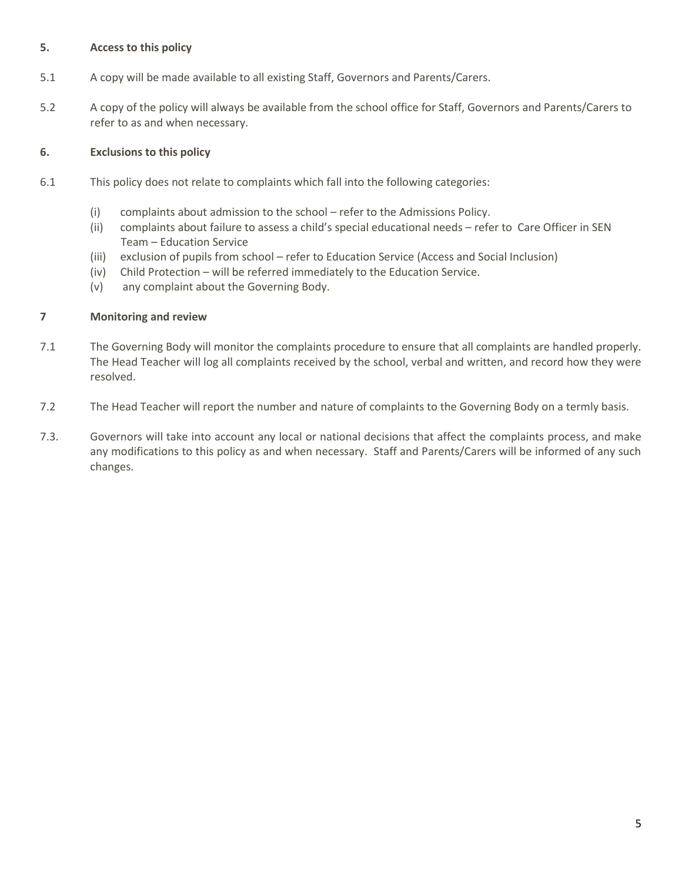#### **5. Access to this policy**

- 5.1 A copy will be made available to all existing Staff, Governors and Parents/Carers.
- 5.2 A copy of the policy will always be available from the school office for Staff, Governors and Parents/Carers to refer to as and when necessary.

#### **6. Exclusions to this policy**

- 6.1 This policy does not relate to complaints which fall into the following categories:
	- (i) complaints about admission to the school refer to the Admissions Policy.
	- (ii) complaints about failure to assess a child's special educational needs refer to Care Officer in SEN Team – Education Service
	- (iii) exclusion of pupils from school refer to Education Service (Access and Social Inclusion)
	- (iv) Child Protection will be referred immediately to the Education Service.
	- (v) any complaint about the Governing Body.

#### **7 Monitoring and review**

- 7.1 The Governing Body will monitor the complaints procedure to ensure that all complaints are handled properly. The Head Teacher will log all complaints received by the school, verbal and written, and record how they were resolved.
- 7.2 The Head Teacher will report the number and nature of complaints to the Governing Body on a termly basis.
- 7.3. Governors will take into account any local or national decisions that affect the complaints process, and make any modifications to this policy as and when necessary. Staff and Parents/Carers will be informed of any such changes.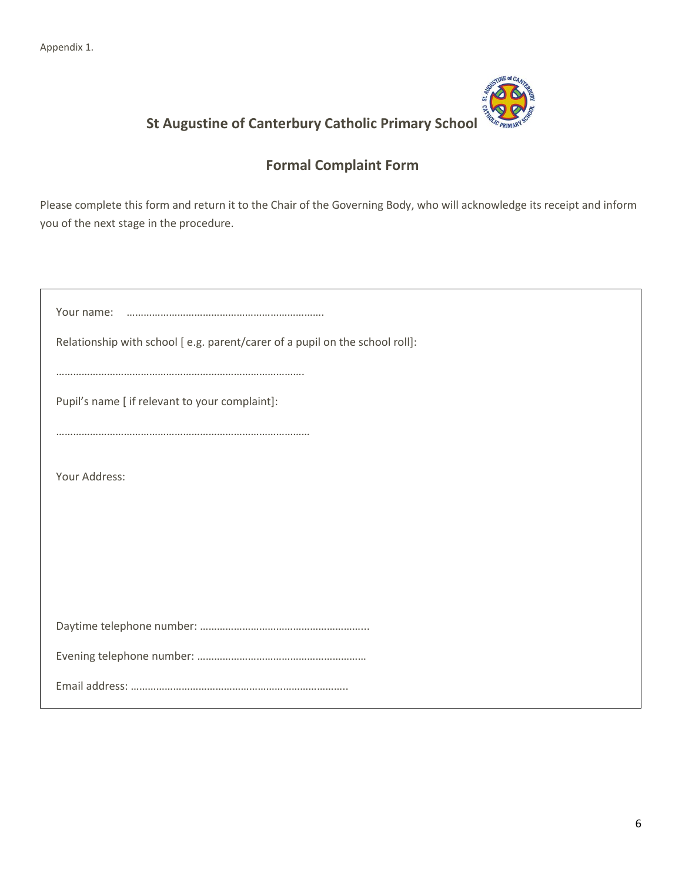Appendix 1.



### **St Augustine of Canterbury Catholic Primary School**

#### **Formal Complaint Form**

Please complete this form and return it to the Chair of the Governing Body, who will acknowledge its receipt and inform you of the next stage in the procedure.

| Your name:                                                                  |  |  |  |
|-----------------------------------------------------------------------------|--|--|--|
| Relationship with school [e.g. parent/carer of a pupil on the school roll]: |  |  |  |
|                                                                             |  |  |  |
| Pupil's name [ if relevant to your complaint]:                              |  |  |  |
|                                                                             |  |  |  |
| Your Address:                                                               |  |  |  |
|                                                                             |  |  |  |
|                                                                             |  |  |  |
|                                                                             |  |  |  |
|                                                                             |  |  |  |
|                                                                             |  |  |  |
|                                                                             |  |  |  |
|                                                                             |  |  |  |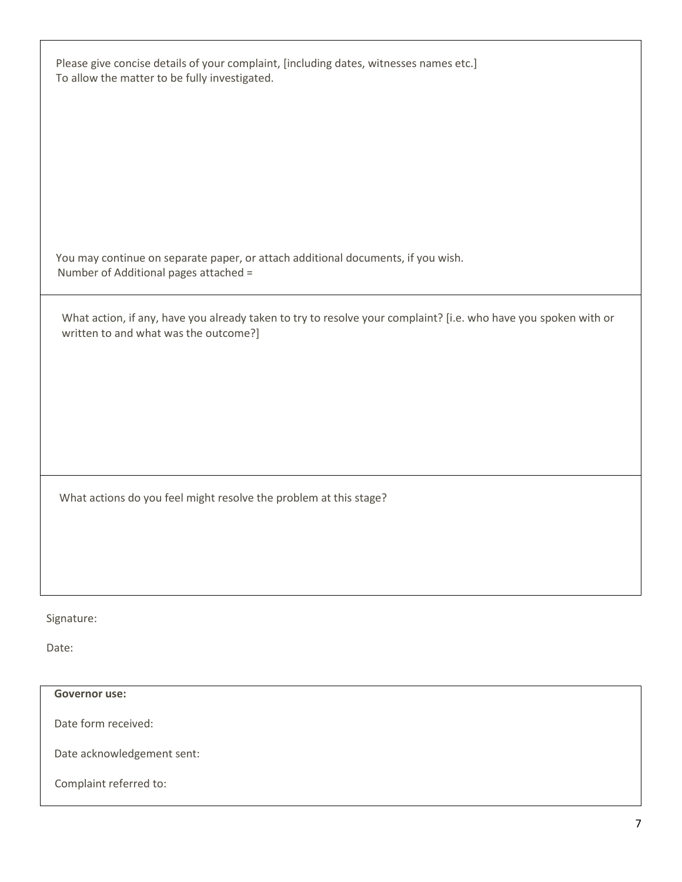| Please give concise details of your complaint, [including dates, witnesses names etc.]<br>To allow the matter to be fully investigated.                  |  |
|----------------------------------------------------------------------------------------------------------------------------------------------------------|--|
|                                                                                                                                                          |  |
| You may continue on separate paper, or attach additional documents, if you wish.<br>Number of Additional pages attached =                                |  |
| What action, if any, have you already taken to try to resolve your complaint? [i.e. who have you spoken with or<br>written to and what was the outcome?] |  |
|                                                                                                                                                          |  |
|                                                                                                                                                          |  |
| What actions do you feel might resolve the problem at this stage?                                                                                        |  |
|                                                                                                                                                          |  |
| Signature:                                                                                                                                               |  |
| Date:                                                                                                                                                    |  |

**Governor use:**

Date form received:

Date acknowledgement sent:

Complaint referred to: